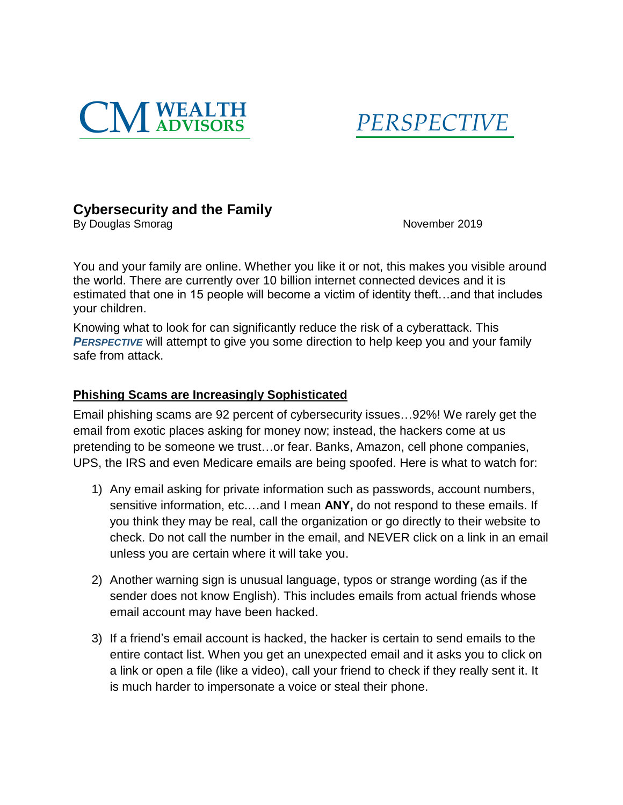



# **Cybersecurity and the Family**

By Douglas Smorag November 2019

You and your family are online. Whether you like it or not, this makes you visible around the world. There are currently over 10 billion internet connected devices and it is estimated that one in 15 people will become a victim of identity theft…and that includes your children.

Knowing what to look for can significantly reduce the risk of a cyberattack. This *PERSPECTIVE* will attempt to give you some direction to help keep you and your family safe from attack.

#### **Phishing Scams are Increasingly Sophisticated**

Email phishing scams are 92 percent of cybersecurity issues…92%! We rarely get the email from exotic places asking for money now; instead, the hackers come at us pretending to be someone we trust…or fear. Banks, Amazon, cell phone companies, UPS, the IRS and even Medicare emails are being spoofed. Here is what to watch for:

- 1) Any email asking for private information such as passwords, account numbers, sensitive information, etc.…and I mean **ANY,** do not respond to these emails. If you think they may be real, call the organization or go directly to their website to check. Do not call the number in the email, and NEVER click on a link in an email unless you are certain where it will take you.
- 2) Another warning sign is unusual language, typos or strange wording (as if the sender does not know English). This includes emails from actual friends whose email account may have been hacked.
- 3) If a friend's email account is hacked, the hacker is certain to send emails to the entire contact list. When you get an unexpected email and it asks you to click on a link or open a file (like a video), call your friend to check if they really sent it. It is much harder to impersonate a voice or steal their phone.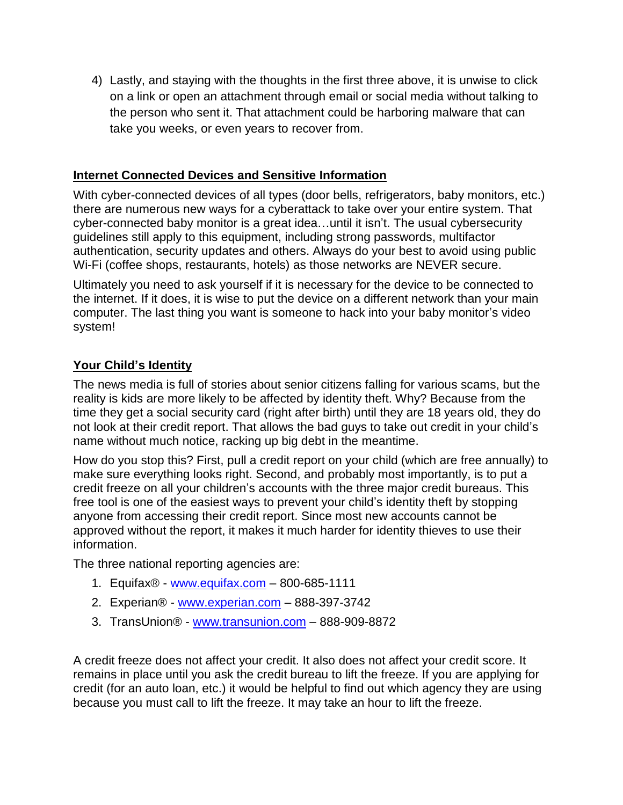4) Lastly, and staying with the thoughts in the first three above, it is unwise to click on a link or open an attachment through email or social media without talking to the person who sent it. That attachment could be harboring malware that can take you weeks, or even years to recover from.

### **Internet Connected Devices and Sensitive Information**

With cyber-connected devices of all types (door bells, refrigerators, baby monitors, etc.) there are numerous new ways for a cyberattack to take over your entire system. That cyber-connected baby monitor is a great idea…until it isn't. The usual cybersecurity guidelines still apply to this equipment, including strong passwords, multifactor authentication, security updates and others. Always do your best to avoid using public Wi-Fi (coffee shops, restaurants, hotels) as those networks are NEVER secure.

Ultimately you need to ask yourself if it is necessary for the device to be connected to the internet. If it does, it is wise to put the device on a different network than your main computer. The last thing you want is someone to hack into your baby monitor's video system!

#### **Your Child's Identity**

The news media is full of stories about senior citizens falling for various scams, but the reality is kids are more likely to be affected by identity theft. Why? Because from the time they get a social security card (right after birth) until they are 18 years old, they do not look at their credit report. That allows the bad guys to take out credit in your child's name without much notice, racking up big debt in the meantime.

How do you stop this? First, pull a credit report on your child (which are free annually) to make sure everything looks right. Second, and probably most importantly, is to put a credit freeze on all your children's accounts with the three major credit bureaus. This free tool is one of the easiest ways to prevent your child's identity theft by stopping anyone from accessing their credit report. Since most new accounts cannot be approved without the report, it makes it much harder for identity thieves to use their information.

The three national reporting agencies are:

- 1. [Equifax®](https://urldefense.proofpoint.com/v2/url?u=https-3A__www.equifax.com&d=BQMGaQ&c=euGZstcaTDllvimEN8b7jXrwqOf-v5A_CdpgnVfiiMM&r=-1R18USIncabpVlSvHCHFaeUl8V10yl1xp41M04stb0&m=2k4OvTVvIcBT7-3S2WyR4g&s=SyUnAb9InnlFtH1nc6IC2NhBkbKEo-2hg4YiY7ktjRo&e=) [www.equifax.com](http://www.equifax.com/) 800-685-1111
- 2. Experian<sup>®</sup> [www.experian.com](http://www.experian.com/) 888-397-3742
- 3. TransUnion® [www.transunion.com](http://www.transunion.com/) 888-909-8872

A credit freeze does not affect your credit. It also does not affect your credit score. It remains in place until you ask the credit bureau to lift the freeze. If you are applying for credit (for an auto loan, etc.) it would be helpful to find out which agency they are using because you must call to lift the freeze. It may take an hour to lift the freeze.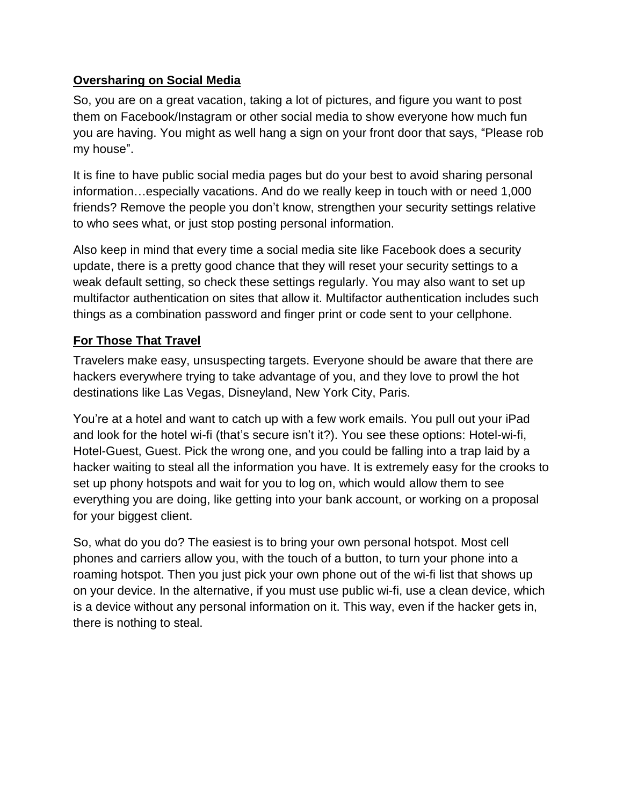### **Oversharing on Social Media**

So, you are on a great vacation, taking a lot of pictures, and figure you want to post them on Facebook/Instagram or other social media to show everyone how much fun you are having. You might as well hang a sign on your front door that says, "Please rob my house".

It is fine to have public social media pages but do your best to avoid sharing personal information…especially vacations. And do we really keep in touch with or need 1,000 friends? Remove the people you don't know, strengthen your security settings relative to who sees what, or just stop posting personal information.

Also keep in mind that every time a social media site like Facebook does a security update, there is a pretty good chance that they will reset your security settings to a weak default setting, so check these settings regularly. You may also want to set up multifactor authentication on sites that allow it. Multifactor authentication includes such things as a combination password and finger print or code sent to your cellphone.

### **For Those That Travel**

Travelers make easy, unsuspecting targets. Everyone should be aware that there are hackers everywhere trying to take advantage of you, and they love to prowl the hot destinations like Las Vegas, Disneyland, New York City, Paris.

You're at a hotel and want to catch up with a few work emails. You pull out your iPad and look for the hotel wi-fi (that's secure isn't it?). You see these options: Hotel-wi-fi, Hotel-Guest, Guest. Pick the wrong one, and you could be falling into a trap laid by a hacker waiting to steal all the information you have. It is extremely easy for the crooks to set up phony hotspots and wait for you to log on, which would allow them to see everything you are doing, like getting into your bank account, or working on a proposal for your biggest client.

So, what do you do? The easiest is to bring your own personal hotspot. Most cell phones and carriers allow you, with the touch of a button, to turn your phone into a roaming hotspot. Then you just pick your own phone out of the wi-fi list that shows up on your device. In the alternative, if you must use public wi-fi, use a clean device, which is a device without any personal information on it. This way, even if the hacker gets in, there is nothing to steal.